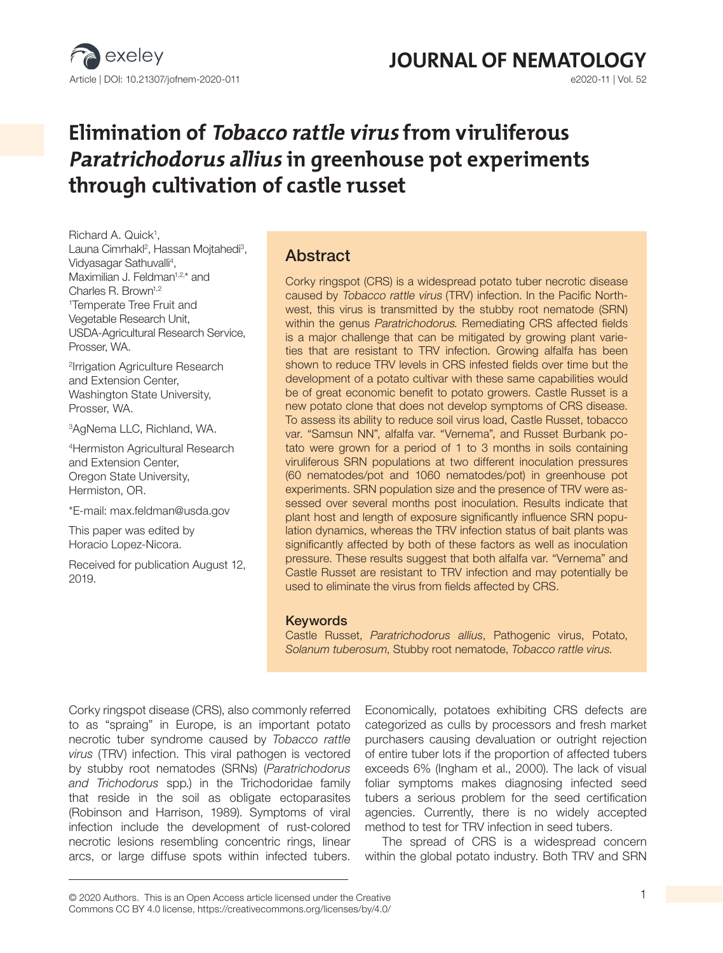

# **JOURNAL OF NEMATOLOGY**<br> **G2020-11 | Vol. 52**

## **Elimination of Tobacco rattle virus from viruliferous Paratrichodorus allius in greenhouse pot experiments through cultivation of castle russet**

Richard A. Quick<sup>1</sup>, Launa Cimrhakl<sup>2</sup>, Hassan Mojtahedi<sup>3</sup>, Vidyasagar Sathuvalli4 , Maximilian J. Feldman<sup>1,2,\*</sup> and Charles R. Brown<sup>1,2</sup> 1 Temperate Tree Fruit and Vegetable Research Unit, USDA-Agricultural Research Service, Prosser, WA.

2 Irrigation Agriculture Research and Extension Center, Washington State University, Prosser, WA.

3 AgNema LLC, Richland, WA.

4 Hermiston Agricultural Research and Extension Center, Oregon State University, Hermiston, OR.

\*E-mail: max.feldman@usda.gov

This paper was edited by Horacio Lopez-Nicora.

Received for publication August 12, 2019.

## Abstract

Corky ringspot (CRS) is a widespread potato tuber necrotic disease caused by Tobacco rattle virus (TRV) infection. In the Pacific Northwest, this virus is transmitted by the stubby root nematode (SRN) within the genus Paratrichodorus. Remediating CRS affected fields is a major challenge that can be mitigated by growing plant varieties that are resistant to TRV infection. Growing alfalfa has been shown to reduce TRV levels in CRS infested fields over time but the development of a potato cultivar with these same capabilities would be of great economic benefit to potato growers. Castle Russet is a new potato clone that does not develop symptoms of CRS disease. To assess its ability to reduce soil virus load, Castle Russet, tobacco var. "Samsun NN", alfalfa var. "Vernema", and Russet Burbank potato were grown for a period of 1 to 3 months in soils containing viruliferous SRN populations at two different inoculation pressures (60 nematodes/pot and 1060 nematodes/pot) in greenhouse pot experiments. SRN population size and the presence of TRV were assessed over several months post inoculation. Results indicate that plant host and length of exposure significantly influence SRN population dynamics, whereas the TRV infection status of bait plants was significantly affected by both of these factors as well as inoculation pressure. These results suggest that both alfalfa var. "Vernema" and Castle Russet are resistant to TRV infection and may potentially be used to eliminate the virus from fields affected by CRS.

#### Keywords

Castle Russet, *Paratrichodorus allius*, Pathogenic virus, Potato, *Solanum tuberosum*, Stubby root nematode, *Tobacco rattle virus.*

Corky ringspot disease (CRS), also commonly referred to as "spraing" in Europe, is an important potato necrotic tuber syndrome caused by *Tobacco rattle virus* (TRV) infection. This viral pathogen is vectored by stubby root nematodes (SRNs) (*Paratrichodorus and Trichodorus* spp*.*) in the Trichodoridae family that reside in the soil as obligate ectoparasites (Robinson and Harrison, 1989). Symptoms of viral infection include the development of rust-colored necrotic lesions resembling concentric rings, linear arcs, or large diffuse spots within infected tubers.

Economically, potatoes exhibiting CRS defects are categorized as culls by processors and fresh market purchasers causing devaluation or outright rejection of entire tuber lots if the proportion of affected tubers exceeds 6% (Ingham et al., 2000). The lack of visual foliar symptoms makes diagnosing infected seed tubers a serious problem for the seed certification agencies. Currently, there is no widely accepted method to test for TRV infection in seed tubers.

The spread of CRS is a widespread concern within the global potato industry. Both TRV and SRN

<sup>© 2020</sup> Authors. This is an Open Access article licensed under the Creative 1 Commons CC BY 4.0 license, https://creativecommons.org/licenses/by/4.0/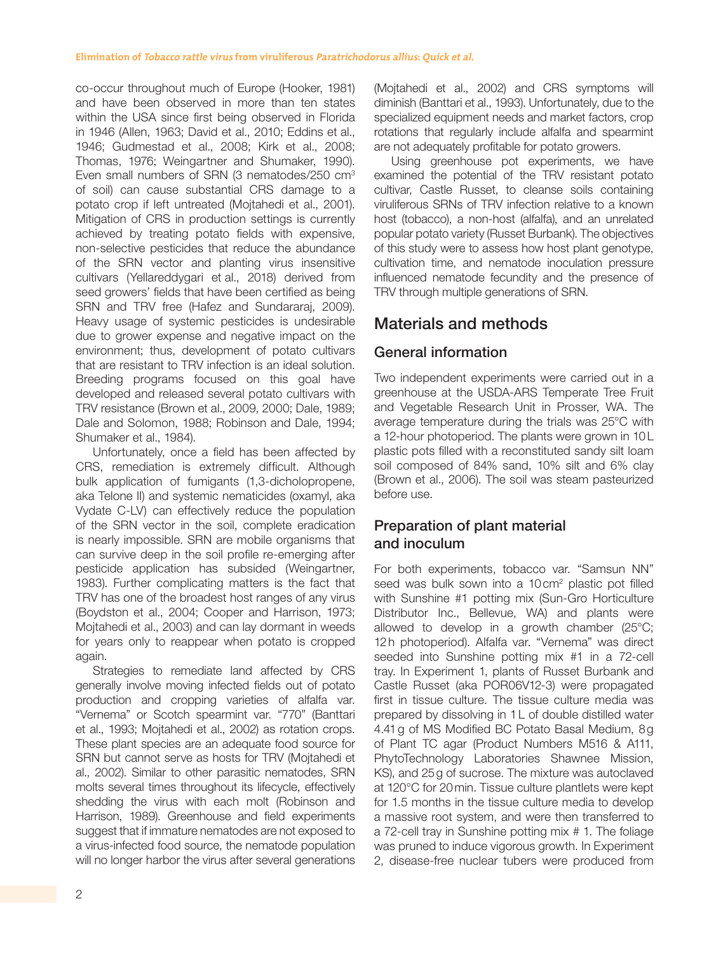co-occur throughout much of Europe (Hooker, 1981) and have been observed in more than ten states within the USA since first being observed in Florida in 1946 (Allen, 1963; David et al., 2010; Eddins et al., 1946; Gudmestad et al., 2008; Kirk et al., 2008; Thomas, 1976; Weingartner and Shumaker, 1990). Even small numbers of SRN (3 nematodes/250 cm3 of soil) can cause substantial CRS damage to a potato crop if left untreated (Mojtahedi et al., 2001). Mitigation of CRS in production settings is currently achieved by treating potato fields with expensive, non-selective pesticides that reduce the abundance of the SRN vector and planting virus insensitive cultivars (Yellareddygari et al., 2018) derived from seed growers' fields that have been certified as being SRN and TRV free (Hafez and Sundararaj, 2009). Heavy usage of systemic pesticides is undesirable due to grower expense and negative impact on the environment; thus, development of potato cultivars that are resistant to TRV infection is an ideal solution. Breeding programs focused on this goal have developed and released several potato cultivars with TRV resistance (Brown et al., 2009, 2000; Dale, 1989; Dale and Solomon, 1988; Robinson and Dale, 1994; Shumaker et al., 1984).

Unfortunately, once a field has been affected by CRS, remediation is extremely difficult. Although bulk application of fumigants (1,3-dicholopropene, aka Telone II) and systemic nematicides (oxamyl, aka Vydate C-LV) can effectively reduce the population of the SRN vector in the soil, complete eradication is nearly impossible. SRN are mobile organisms that can survive deep in the soil profile re-emerging after pesticide application has subsided (Weingartner, 1983). Further complicating matters is the fact that TRV has one of the broadest host ranges of any virus (Boydston et al., 2004; Cooper and Harrison, 1973; Mojtahedi et al., 2003) and can lay dormant in weeds for years only to reappear when potato is cropped again.

Strategies to remediate land affected by CRS generally involve moving infected fields out of potato production and cropping varieties of alfalfa var. "Vernema" or Scotch spearmint var. "770" (Banttari et al., 1993; Mojtahedi et al., 2002) as rotation crops. These plant species are an adequate food source for SRN but cannot serve as hosts for TRV (Mojtahedi et al., 2002). Similar to other parasitic nematodes, SRN molts several times throughout its lifecycle, effectively shedding the virus with each molt (Robinson and Harrison, 1989). Greenhouse and field experiments suggest that if immature nematodes are not exposed to a virus-infected food source, the nematode population will no longer harbor the virus after several generations (Mojtahedi et al., 2002) and CRS symptoms will diminish (Banttari et al., 1993). Unfortunately, due to the specialized equipment needs and market factors, crop rotations that regularly include alfalfa and spearmint are not adequately profitable for potato growers.

Using greenhouse pot experiments, we have examined the potential of the TRV resistant potato cultivar, Castle Russet, to cleanse soils containing viruliferous SRNs of TRV infection relative to a known host (tobacco), a non-host (alfalfa), and an unrelated popular potato variety (Russet Burbank). The objectives of this study were to assess how host plant genotype, cultivation time, and nematode inoculation pressure influenced nematode fecundity and the presence of TRV through multiple generations of SRN.

## Materials and methods

## General information

Two independent experiments were carried out in a greenhouse at the USDA-ARS Temperate Tree Fruit and Vegetable Research Unit in Prosser, WA. The average temperature during the trials was 25°C with a 12-hour photoperiod. The plants were grown in 10L plastic pots filled with a reconstituted sandy silt loam soil composed of 84% sand, 10% silt and 6% clay (Brown et al., 2006). The soil was steam pasteurized before use.

## Preparation of plant material and inoculum

For both experiments, tobacco var. "Samsun NN" seed was bulk sown into a 10cm<sup>2</sup> plastic pot filled with Sunshine #1 potting mix (Sun-Gro Horticulture Distributor Inc., Bellevue, WA) and plants were allowed to develop in a growth chamber (25°C; 12h photoperiod). Alfalfa var. "Vernema" was direct seeded into Sunshine potting mix #1 in a 72-cell tray. In Experiment 1, plants of Russet Burbank and Castle Russet (aka POR06V12-3) were propagated first in tissue culture. The tissue culture media was prepared by dissolving in 1L of double distilled water 4.41g of MS Modified BC Potato Basal Medium, 8g of Plant TC agar (Product Numbers M516 & A111, PhytoTechnology Laboratories Shawnee Mission, KS), and 25g of sucrose. The mixture was autoclaved at 120°C for 20min. Tissue culture plantlets were kept for 1.5 months in the tissue culture media to develop a massive root system, and were then transferred to a 72-cell tray in Sunshine potting mix # 1. The foliage was pruned to induce vigorous growth. In Experiment 2, disease-free nuclear tubers were produced from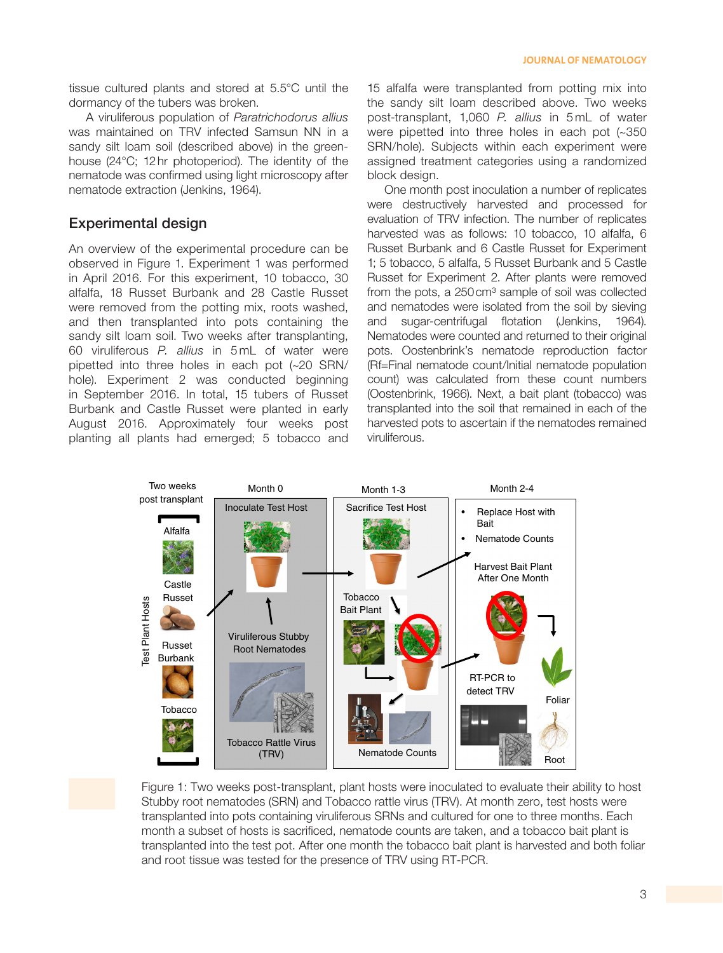tissue cultured plants and stored at 5.5°C until the dormancy of the tubers was broken.

A viruliferous population of *Paratrichodorus allius* was maintained on TRV infected Samsun NN in a sandy silt loam soil (described above) in the greenhouse (24°C; 12hr photoperiod). The identity of the nematode was confirmed using light microscopy after nematode extraction (Jenkins, 1964).

#### Experimental design

An overview of the experimental procedure can be observed in Figure 1. Experiment 1 was performed in April 2016. For this experiment, 10 tobacco, 30 alfalfa, 18 Russet Burbank and 28 Castle Russet were removed from the potting mix, roots washed, and then transplanted into pots containing the sandy silt loam soil. Two weeks after transplanting, 60 viruliferous *P. allius* in 5 mL of water were pipetted into three holes in each pot (~20 SRN/ hole). Experiment 2 was conducted beginning in September 2016. In total, 15 tubers of Russet Burbank and Castle Russet were planted in early August 2016. Approximately four weeks post planting all plants had emerged; 5 tobacco and

15 alfalfa were transplanted from potting mix into the sandy silt loam described above. Two weeks post-transplant, 1,060 P. allius in 5 mL of water were pipetted into three holes in each pot (~350 SRN/hole). Subjects within each experiment were assigned treatment categories using a randomized block design.

One month post inoculation a number of replicates were destructively harvested and processed for evaluation of TRV infection. The number of replicates harvested was as follows: 10 tobacco, 10 alfalfa, 6 Russet Burbank and 6 Castle Russet for Experiment 1; 5 tobacco, 5 alfalfa, 5 Russet Burbank and 5 Castle Russet for Experiment 2. After plants were removed from the pots, a 250 cm<sup>3</sup> sample of soil was collected and nematodes were isolated from the soil by sieving and sugar-centrifugal flotation (Jenkins, 1964). Nematodes were counted and returned to their original pots. Oostenbrink's nematode reproduction factor (Rf=Final nematode count/Initial nematode population count) was calculated from these count numbers (Oostenbrink, 1966). Next, a bait plant (tobacco) was transplanted into the soil that remained in each of the harvested pots to ascertain if the nematodes remained viruliferous.



Figure 1: Two weeks post-transplant, plant hosts were inoculated to evaluate their ability to host Stubby root nematodes (SRN) and Tobacco rattle virus (TRV). At month zero, test hosts were transplanted into pots containing viruliferous SRNs and cultured for one to three months. Each month a subset of hosts is sacrificed, nematode counts are taken, and a tobacco bait plant is transplanted into the test pot. After one month the tobacco bait plant is harvested and both foliar and root tissue was tested for the presence of TRV using RT-PCR.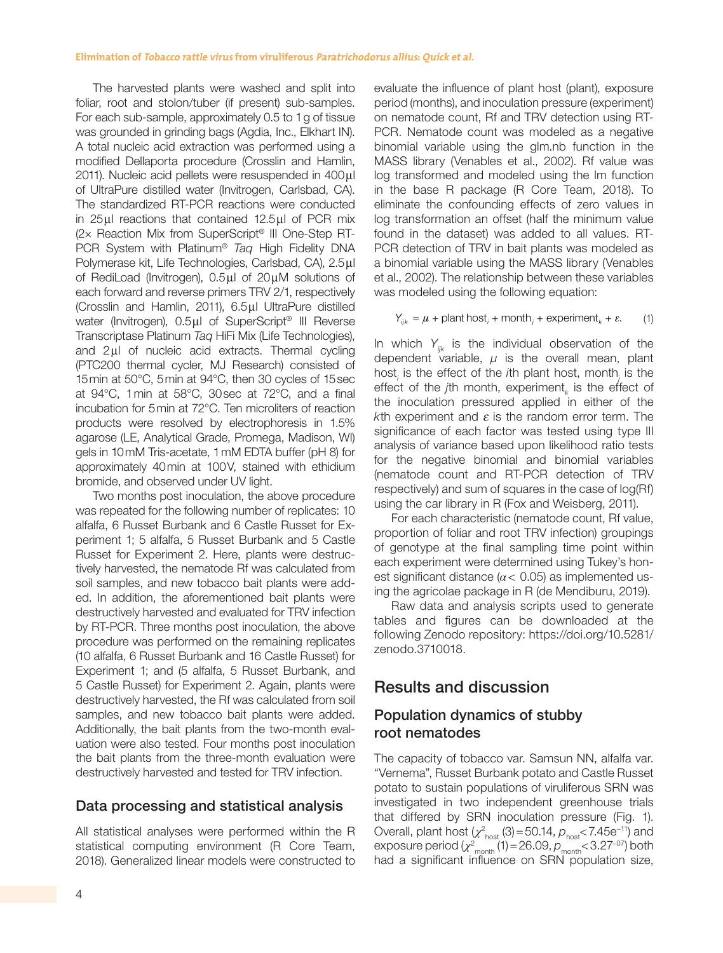The harvested plants were washed and split into foliar, root and stolon/tuber (if present) sub-samples. For each sub-sample, approximately 0.5 to 1g of tissue was grounded in grinding bags (Agdia, Inc., Elkhart IN). A total nucleic acid extraction was performed using a modified Dellaporta procedure (Crosslin and Hamlin, 2011). Nucleic acid pellets were resuspended in 400μl of UltraPure distilled water (Invitrogen, Carlsbad, CA). The standardized RT-PCR reactions were conducted in 25μl reactions that contained 12.5μl of PCR mix (2× Reaction Mix from SuperScript® III One-Step RT-PCR System with Platinum® *Taq* High Fidelity DNA Polymerase kit, Life Technologies, Carlsbad, CA), 2.5μl of RediLoad (Invitrogen), 0.5μl of 20μM solutions of each forward and reverse primers TRV 2/1, respectively (Crosslin and Hamlin, 2011), 6.5μl UltraPure distilled water (Invitrogen), 0.5μl of SuperScript<sup>®</sup> III Reverse Transcriptase Platinum *Taq* HiFi Mix (Life Technologies), and 2μl of nucleic acid extracts. Thermal cycling (PTC200 thermal cycler, MJ Research) consisted of 15min at 50°C, 5min at 94°C, then 30 cycles of 15sec at 94°C, 1min at 58°C, 30sec at 72°C, and a final incubation for 5min at 72°C. Ten microliters of reaction products were resolved by electrophoresis in 1.5% agarose (LE, Analytical Grade, Promega, Madison, WI) gels in 10mM Tris-acetate, 1mM EDTA buffer (pH 8) for approximately 40min at 100V, stained with ethidium bromide, and observed under UV light.

Two months post inoculation, the above procedure was repeated for the following number of replicates: 10 alfalfa, 6 Russet Burbank and 6 Castle Russet for Experiment 1; 5 alfalfa, 5 Russet Burbank and 5 Castle Russet for Experiment 2. Here, plants were destructively harvested, the nematode Rf was calculated from soil samples, and new tobacco bait plants were added. In addition, the aforementioned bait plants were destructively harvested and evaluated for TRV infection by RT-PCR. Three months post inoculation, the above procedure was performed on the remaining replicates (10 alfalfa, 6 Russet Burbank and 16 Castle Russet) for Experiment 1; and (5 alfalfa, 5 Russet Burbank, and 5 Castle Russet) for Experiment 2. Again, plants were destructively harvested, the Rf was calculated from soil samples, and new tobacco bait plants were added. Additionally, the bait plants from the two-month evaluation were also tested. Four months post inoculation the bait plants from the three-month evaluation were destructively harvested and tested for TRV infection.

#### Data processing and statistical analysis

All statistical analyses were performed within the R statistical computing environment (R Core Team, 2018). Generalized linear models were constructed to evaluate the influence of plant host (plant), exposure period (months), and inoculation pressure (experiment) on nematode count, Rf and TRV detection using RT-PCR. Nematode count was modeled as a negative binomial variable using the glm.nb function in the MASS library (Venables et al., 2002). Rf value was log transformed and modeled using the lm function in the base R package (R Core Team, 2018). To eliminate the confounding effects of zero values in log transformation an offset (half the minimum value found in the dataset) was added to all values. RT-PCR detection of TRV in bait plants was modeled as a binomial variable using the MASS library (Venables et al., 2002). The relationship between these variables was modeled using the following equation:

$$
Y_{ijk} = \mu + \text{plant host}_i + \text{month}_j + \text{experiment}_k + \varepsilon. \tag{1}
$$

In which  $Y_{ik}$  is the individual observation of the dependent variable,  $\mu$  is the overall mean, plant host*<sup>i</sup>* is the effect of the *i*th plant host, month*<sup>j</sup>* is the effect of the *j*th month, experiment<sub>k</sub> is the effect of the inoculation pressured applied in either of the *k*th experiment and  $\varepsilon$  is the random error term. The significance of each factor was tested using type III analysis of variance based upon likelihood ratio tests for the negative binomial and binomial variables (nematode count and RT-PCR detection of TRV respectively) and sum of squares in the case of log(Rf) using the car library in R (Fox and Weisberg, 2011).

For each characteristic (nematode count, Rf value, proportion of foliar and root TRV infection) groupings of genotype at the final sampling time point within each experiment were determined using Tukey's honest significant distance (*α*< 0.05) as implemented using the agricolae package in R (de Mendiburu, 2019).

Raw data and analysis scripts used to generate tables and figures can be downloaded at the following Zenodo repository: https://doi.org/10.5281/ zenodo.3710018.

## Results and discussion

### Population dynamics of stubby root nematodes

The capacity of tobacco var. Samsun NN, alfalfa var. "Vernema", Russet Burbank potato and Castle Russet potato to sustain populations of viruliferous SRN was investigated in two independent greenhouse trials that differed by SRN inoculation pressure (Fig. 1). Overall, plant host  $(\chi^2_{\text{host}}(3) = 50.14, p_{\text{host}} < 7.45e^{-11})$  and exposure period ( $\chi^2$ <sub>month</sub> (1)=26.09,  $\rho$ <sub>month</sub><3.27<sup>-07</sup>) both had a significant influence on SRN population size,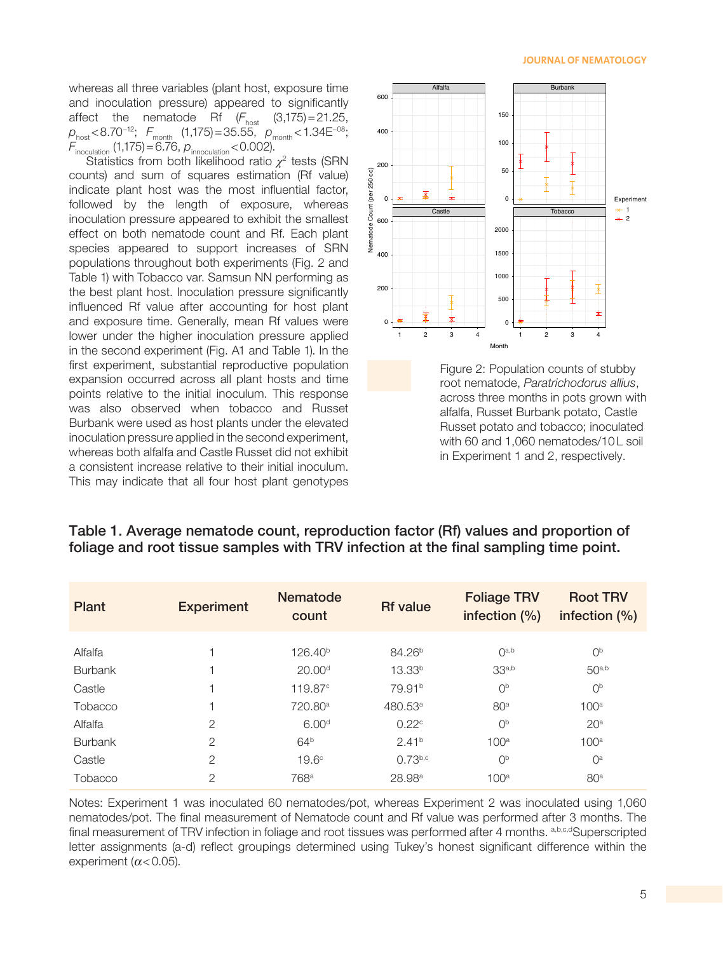#### **JOURNAL OF NEMATOLOGY**

whereas all three variables (plant host, exposure time and inoculation pressure) appeared to significantly affect the nematode Rf  $(F<sub>host</sub>$  (3,175)=21.25,  $p_{\text{host}}$ <8.70<sup>-12</sup>;  $F_{\text{month}}$  (1,175)=35.55,  $p_{\text{month}}$ <1.34E<sup>-08</sup>;  $F_{\text{inoculation}}^{100}$  (1,175) = 6.76,  $p_{\text{innoculation}}$  < 0.002).

Statistics from both likelihood ratio *χ*<sup>2</sup> tests (SRN counts) and sum of squares estimation (Rf value) indicate plant host was the most influential factor, followed by the length of exposure, whereas inoculation pressure appeared to exhibit the smallest effect on both nematode count and Rf. Each plant species appeared to support increases of SRN populations throughout both experiments (Fig. 2 and Table 1) with Tobacco var. Samsun NN performing as the best plant host. Inoculation pressure significantly influenced Rf value after accounting for host plant and exposure time. Generally, mean Rf values were lower under the higher inoculation pressure applied in the second experiment (Fig. A1 and Table 1). In the first experiment, substantial reproductive population expansion occurred across all plant hosts and time points relative to the initial inoculum. This response was also observed when tobacco and Russet Burbank were used as host plants under the elevated inoculation pressure applied in the second experiment, whereas both alfalfa and Castle Russet did not exhibit a consistent increase relative to their initial inoculum. This may indicate that all four host plant genotypes



Figure 2: Population counts of stubby root nematode, *Paratrichodorus allius*, across three months in pots grown with alfalfa, Russet Burbank potato, Castle Russet potato and tobacco; inoculated with 60 and 1,060 nematodes/10L soil in Experiment 1 and 2, respectively.

| Plant          | <b>Experiment</b> | <b>Nematode</b><br>count | <b>Rf</b> value     | <b>Foliage TRV</b><br>infection $(\%)$ | <b>Root TRV</b><br>infection (%) |
|----------------|-------------------|--------------------------|---------------------|----------------------------------------|----------------------------------|
| Alfalfa        |                   | $126.40^{b}$             | 84.26 <sup>b</sup>  | $\bigcap$ a,b                          | $\bigcap^{\mathsf{b}}$           |
| <b>Burbank</b> |                   | 20.00 <sup>d</sup>       | 13.33 <sup>b</sup>  | 33 <sup>a,b</sup>                      | $50^{a,b}$                       |
| Castle         |                   | 119.87 <sup>c</sup>      | 79.91 <sup>b</sup>  | O <sub>p</sub>                         | $\theta$                         |
| Tobacco        | н                 | 720.80 <sup>a</sup>      | 480.53 <sup>a</sup> | 80 <sup>a</sup>                        | 100 <sup>a</sup>                 |
| Alfalfa        | $\overline{2}$    | 6.00 <sup>d</sup>        | 0.22 <sup>c</sup>   | 0 <sup>b</sup>                         | 20 <sup>a</sup>                  |
| <b>Burbank</b> | $\overline{2}$    | 64 <sup>b</sup>          | 2.41 <sup>b</sup>   | 100 <sup>a</sup>                       | 100 <sup>a</sup>                 |
| Castle         | $\overline{2}$    | 19.6 <sup>c</sup>        | $0.73^{b,c}$        | 0 <sup>b</sup>                         | O <sup>a</sup>                   |
| Tobacco        | $\overline{2}$    | 768 <sup>a</sup>         | 28.98 <sup>a</sup>  | 100 <sup>a</sup>                       | 80 <sup>a</sup>                  |

Table 1. Average nematode count, reproduction factor (Rf) values and proportion of foliage and root tissue samples with TRV infection at the final sampling time point.

Notes: Experiment 1 was inoculated 60 nematodes/pot, whereas Experiment 2 was inoculated using 1,060 nematodes/pot. The final measurement of Nematode count and Rf value was performed after 3 months. The final measurement of TRV infection in foliage and root tissues was performed after 4 months. a,b,c,dSuperscripted letter assignments (a-d) reflect groupings determined using Tukey's honest significant difference within the experiment ( $\alpha$ <0.05).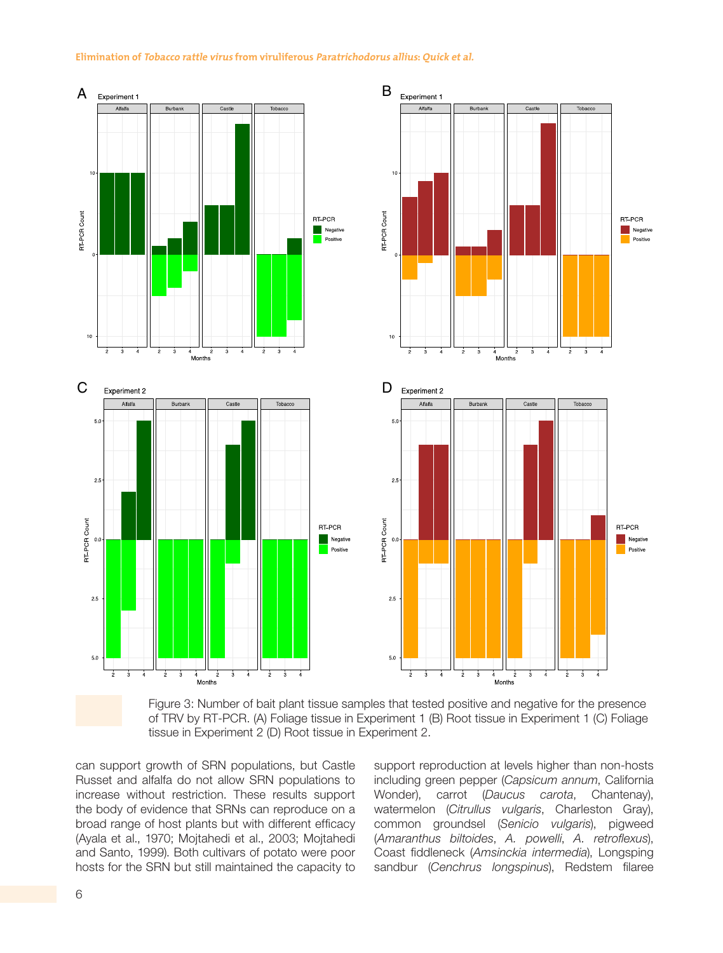#### **Elimination of Tobacco rattle virus from viruliferous Paratrichodorus allius: Quick et al.**



Figure 3: Number of bait plant tissue samples that tested positive and negative for the presence of TRV by RT-PCR. (A) Foliage tissue in Experiment 1 (B) Root tissue in Experiment 1 (C) Foliage tissue in Experiment 2 (D) Root tissue in Experiment 2.

can support growth of SRN populations, but Castle Russet and alfalfa do not allow SRN populations to increase without restriction. These results support the body of evidence that SRNs can reproduce on a broad range of host plants but with different efficacy (Ayala et al., 1970; Mojtahedi et al., 2003; Mojtahedi and Santo, 1999). Both cultivars of potato were poor hosts for the SRN but still maintained the capacity to support reproduction at levels higher than non-hosts including green pepper (*Capsicum annum*, California Wonder), carrot (*Daucus carota*, Chantenay), watermelon (*Citrullus vulgaris*, Charleston Gray), common groundsel (*Senicio vulgaris*), pigweed (*Amaranthus biltoides*, *A. powelli*, *A. retroflexus*), Coast fiddleneck (*Amsinckia intermedia*), Longsping sandbur (*Cenchrus longspinus*), Redstem filaree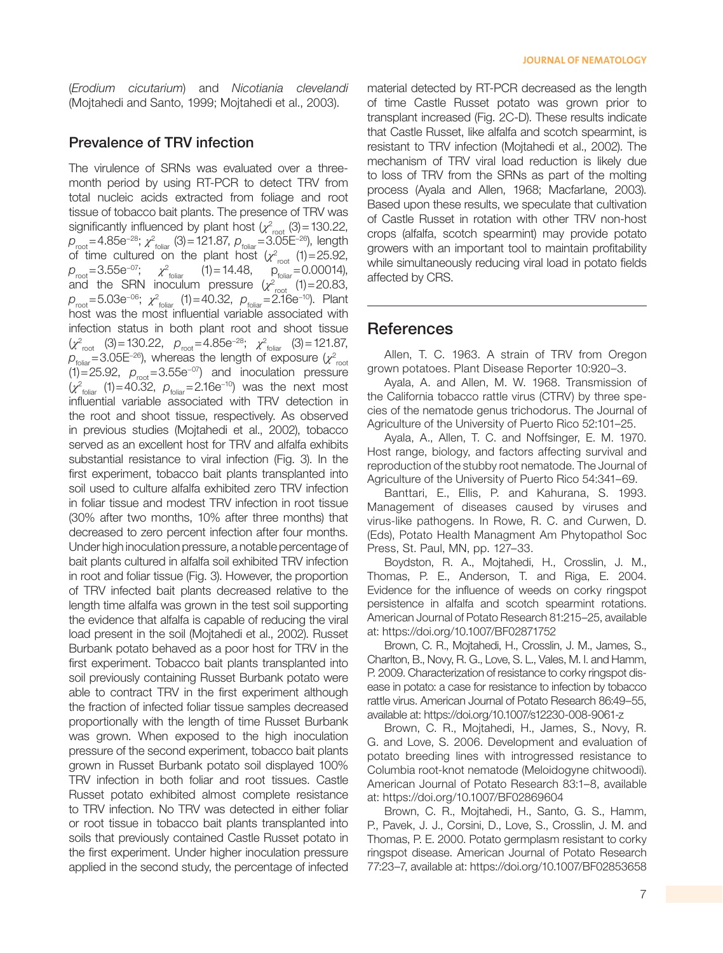(*Erodium cicutarium*) and *Nicotiania clevelandi* (Mojtahedi and Santo, 1999; Mojtahedi et al., 2003).

#### Prevalence of TRV infection

The virulence of SRNs was evaluated over a threemonth period by using RT-PCR to detect TRV from total nucleic acids extracted from foliage and root tissue of tobacco bait plants. The presence of TRV was significantly influenced by plant host  $(\chi^2_{\text{root}}(3)=130.22,$ *p*<sub>root</sub>=4.85e<sup>−28</sup>; *χ*<sup>2</sup><sub>foliar</sub> (3)=121.87, *p*<sub>foliar</sub>=3.05E<sup>−26</sup>), length of time cultured on the plant host  $(\chi^2_{\text{root}}(1)=25.92,$  $p_{\text{root}} = 3.55e^{-07}$ ;  $\chi^2_{\text{foliar}}$  (1) = 14.48,  $p_{\text{foliar}} = 0.00014$ ), and the SRN inoculum pressure  $(\chi^2_{\text{root}}(1)=20.83,$ *p*<sub>root</sub>=5.03e<sup>−06</sup>; *χ*<sup>2</sup><sub>foliar</sub> (1)=40.32, *p*<sub>foliar</sub>=2.16e<sup>−10</sup>). Plant host was the most influential variable associated with infection status in both plant root and shoot tissue (*χ*<sup>2</sup><sub>root</sub> (3) = 130.22, *p*<sub>root</sub> = 4.85e<sup>−28</sup>; *χ*<sup>2</sup><sub>foliar</sub> (3) = 121.87,  $\rho_{\text{folilar}}$ =3.05E<sup>−26</sup>), whereas the length of exposure (χ<sup>2</sup><sub>root</sub>  $(1)=25.92$ ,  $p_{\text{root}}=3.55e^{-0.7}$  and inoculation pressure ( $\chi^2_{\text{foliar}}$  (1)=40.32,  $\rho_{\text{foliar}}$ =2.16e<sup>−10</sup>) was the next most influential variable associated with TRV detection in the root and shoot tissue, respectively. As observed in previous studies (Mojtahedi et al., 2002), tobacco served as an excellent host for TRV and alfalfa exhibits substantial resistance to viral infection (Fig. 3). In the first experiment, tobacco bait plants transplanted into soil used to culture alfalfa exhibited zero TRV infection in foliar tissue and modest TRV infection in root tissue (30% after two months, 10% after three months) that decreased to zero percent infection after four months. Under high inoculation pressure, a notable percentage of bait plants cultured in alfalfa soil exhibited TRV infection in root and foliar tissue (Fig. 3). However, the proportion of TRV infected bait plants decreased relative to the length time alfalfa was grown in the test soil supporting the evidence that alfalfa is capable of reducing the viral load present in the soil (Mojtahedi et al., 2002). Russet Burbank potato behaved as a poor host for TRV in the first experiment. Tobacco bait plants transplanted into soil previously containing Russet Burbank potato were able to contract TRV in the first experiment although the fraction of infected foliar tissue samples decreased proportionally with the length of time Russet Burbank was grown. When exposed to the high inoculation pressure of the second experiment, tobacco bait plants grown in Russet Burbank potato soil displayed 100% TRV infection in both foliar and root tissues. Castle Russet potato exhibited almost complete resistance to TRV infection. No TRV was detected in either foliar or root tissue in tobacco bait plants transplanted into soils that previously contained Castle Russet potato in the first experiment. Under higher inoculation pressure applied in the second study, the percentage of infected

material detected by RT-PCR decreased as the length of time Castle Russet potato was grown prior to transplant increased (Fig. 2C-D). These results indicate that Castle Russet, like alfalfa and scotch spearmint, is resistant to TRV infection (Mojtahedi et al., 2002). The mechanism of TRV viral load reduction is likely due to loss of TRV from the SRNs as part of the molting process (Ayala and Allen, 1968; Macfarlane, 2003). Based upon these results, we speculate that cultivation of Castle Russet in rotation with other TRV non-host crops (alfalfa, scotch spearmint) may provide potato growers with an important tool to maintain profitability while simultaneously reducing viral load in potato fields affected by CRS.

#### **References**

Allen, T. C. 1963. A strain of TRV from Oregon grown potatoes. Plant Disease Reporter 10:920–3.

Ayala, A. and Allen, M. W. 1968. Transmission of the California tobacco rattle virus (CTRV) by three species of the nematode genus trichodorus. The Journal of Agriculture of the University of Puerto Rico 52:101–25.

Ayala, A., Allen, T. C. and Noffsinger, E. M. 1970. Host range, biology, and factors affecting survival and reproduction of the stubby root nematode. The Journal of Agriculture of the University of Puerto Rico 54:341–69.

Banttari, E., Ellis, P. and Kahurana, S. 1993. Management of diseases caused by viruses and virus-like pathogens. In Rowe, R. C. and Curwen, D. (Eds), Potato Health Managment Am Phytopathol Soc Press, St. Paul, MN, pp. 127–33.

Boydston, R. A., Mojtahedi, H., Crosslin, J. M., Thomas, P. E., Anderson, T. and Riga, E. 2004. Evidence for the influence of weeds on corky ringspot persistence in alfalfa and scotch spearmint rotations. American Journal of Potato Research 81:215–25, available at: https://doi.org/10.1007/BF02871752

Brown, C. R., Mojtahedi, H., Crosslin, J. M., James, S., Charlton, B., Novy, R. G., Love, S. L., Vales, M. I. and Hamm, P. 2009. Characterization of resistance to corky ringspot disease in potato: a case for resistance to infection by tobacco rattle virus. American Journal of Potato Research 86:49–55, available at: https://doi.org/10.1007/s12230-008-9061-z

Brown, C. R., Mojtahedi, H., James, S., Novy, R. G. and Love, S. 2006. Development and evaluation of potato breeding lines with introgressed resistance to Columbia root-knot nematode (Meloidogyne chitwoodi). American Journal of Potato Research 83:1–8, available at: https://doi.org/10.1007/BF02869604

Brown, C. R., Mojtahedi, H., Santo, G. S., Hamm, P., Pavek, J. J., Corsini, D., Love, S., Crosslin, J. M. and Thomas, P. E. 2000. Potato germplasm resistant to corky ringspot disease. American Journal of Potato Research 77:23–7, available at: https://doi.org/10.1007/BF02853658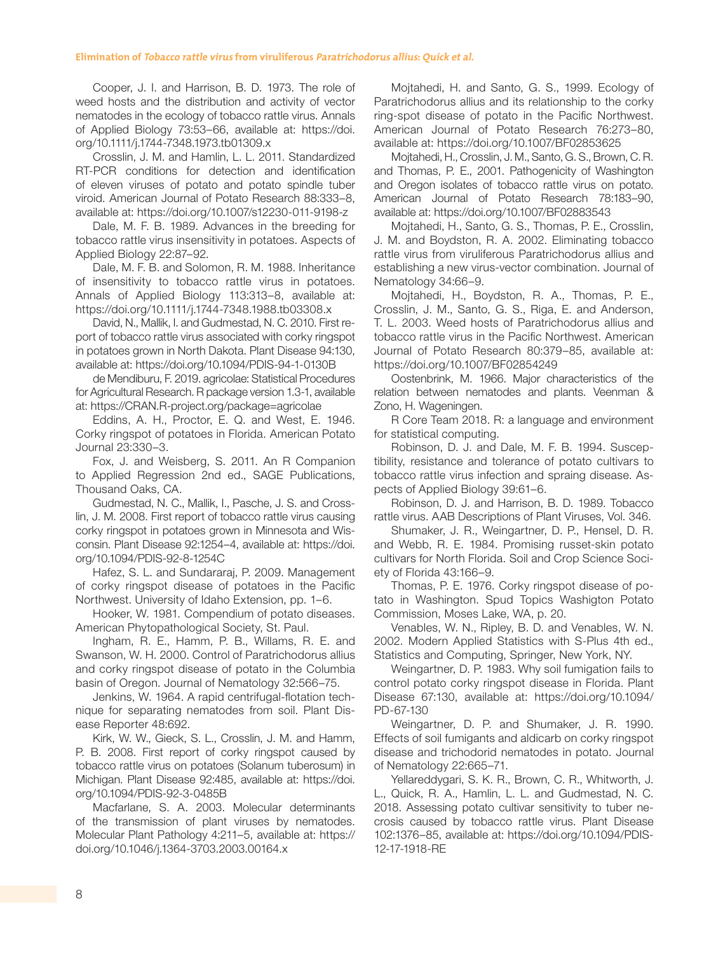Cooper, J. I. and Harrison, B. D. 1973. The role of weed hosts and the distribution and activity of vector nematodes in the ecology of tobacco rattle virus. Annals of Applied Biology 73:53–66, available at: https://doi. org/10.1111/j.1744-7348.1973.tb01309.x

Crosslin, J. M. and Hamlin, L. L. 2011. Standardized RT-PCR conditions for detection and identification of eleven viruses of potato and potato spindle tuber viroid. American Journal of Potato Research 88:333–8, available at: https://doi.org/10.1007/s12230-011-9198-z

Dale, M. F. B. 1989. Advances in the breeding for tobacco rattle virus insensitivity in potatoes. Aspects of Applied Biology 22:87–92.

Dale, M. F. B. and Solomon, R. M. 1988. Inheritance of insensitivity to tobacco rattle virus in potatoes. Annals of Applied Biology 113:313–8, available at: https://doi.org/10.1111/j.1744-7348.1988.tb03308.x

David, N., Mallik, I. and Gudmestad, N. C. 2010. First report of tobacco rattle virus associated with corky ringspot in potatoes grown in North Dakota. Plant Disease 94:130, available at: https://doi.org/10.1094/PDIS-94-1-0130B

de Mendiburu, F. 2019. agricolae: Statistical Procedures for Agricultural Research. R package version 1.3-1, available at: https://CRAN.R-project.org/package=agricolae

Eddins, A. H., Proctor, E. Q. and West, E. 1946. Corky ringspot of potatoes in Florida. American Potato Journal 23:330–3.

Fox, J. and Weisberg, S. 2011. An R Companion to Applied Regression 2nd ed., SAGE Publications, Thousand Oaks, CA.

Gudmestad, N. C., Mallik, I., Pasche, J. S. and Crosslin, J. M. 2008. First report of tobacco rattle virus causing corky ringspot in potatoes grown in Minnesota and Wisconsin. Plant Disease 92:1254–4, available at: https://doi. org/10.1094/PDIS-92-8-1254C

Hafez, S. L. and Sundararaj, P. 2009. Management of corky ringspot disease of potatoes in the Pacific Northwest. University of Idaho Extension, pp. 1–6.

Hooker, W. 1981. Compendium of potato diseases. American Phytopathological Society, St. Paul.

Ingham, R. E., Hamm, P. B., Willams, R. E. and Swanson, W. H. 2000. Control of Paratrichodorus allius and corky ringspot disease of potato in the Columbia basin of Oregon. Journal of Nematology 32:566–75.

Jenkins, W. 1964. A rapid centrifugal-flotation technique for separating nematodes from soil. Plant Disease Reporter 48:692.

Kirk, W. W., Gieck, S. L., Crosslin, J. M. and Hamm, P. B. 2008. First report of corky ringspot caused by tobacco rattle virus on potatoes (Solanum tuberosum) in Michigan. Plant Disease 92:485, available at: https://doi. org/10.1094/PDIS-92-3-0485B

Macfarlane, S. A. 2003. Molecular determinants of the transmission of plant viruses by nematodes. Molecular Plant Pathology 4:211–5, available at: https:// doi.org/10.1046/j.1364-3703.2003.00164.x

Mojtahedi, H. and Santo, G. S., 1999. Ecology of Paratrichodorus allius and its relationship to the corky ring-spot disease of potato in the Pacific Northwest. American Journal of Potato Research 76:273–80, available at: https://doi.org/10.1007/BF02853625

Mojtahedi, H., Crosslin, J. M., Santo, G. S., Brown, C. R. and Thomas, P. E., 2001. Pathogenicity of Washington and Oregon isolates of tobacco rattle virus on potato. American Journal of Potato Research 78:183–90, available at: https://doi.org/10.1007/BF02883543

Mojtahedi, H., Santo, G. S., Thomas, P. E., Crosslin, J. M. and Boydston, R. A. 2002. Eliminating tobacco rattle virus from viruliferous Paratrichodorus allius and establishing a new virus-vector combination. Journal of Nematology 34:66–9.

Mojtahedi, H., Boydston, R. A., Thomas, P. E., Crosslin, J. M., Santo, G. S., Riga, E. and Anderson, T. L. 2003. Weed hosts of Paratrichodorus allius and tobacco rattle virus in the Pacific Northwest. American Journal of Potato Research 80:379–85, available at: https://doi.org/10.1007/BF02854249

Oostenbrink, M. 1966. Major characteristics of the relation between nematodes and plants. Veenman & Zono, H. Wageningen.

R Core Team 2018. R: a language and environment for statistical computing.

Robinson, D. J. and Dale, M. F. B. 1994. Susceptibility, resistance and tolerance of potato cultivars to tobacco rattle virus infection and spraing disease. Aspects of Applied Biology 39:61–6.

Robinson, D. J. and Harrison, B. D. 1989. Tobacco rattle virus. AAB Descriptions of Plant Viruses, Vol. 346.

Shumaker, J. R., Weingartner, D. P., Hensel, D. R. and Webb, R. E. 1984. Promising russet-skin potato cultivars for North Florida. Soil and Crop Science Society of Florida 43:166–9.

Thomas, P. E. 1976. Corky ringspot disease of potato in Washington. Spud Topics Washigton Potato Commission, Moses Lake, WA, p. 20.

Venables, W. N., Ripley, B. D. and Venables, W. N. 2002. Modern Applied Statistics with S-Plus 4th ed., Statistics and Computing, Springer, New York, NY.

Weingartner, D. P. 1983. Why soil fumigation fails to control potato corky ringspot disease in Florida. Plant Disease 67:130, available at: https://doi.org/10.1094/ PD-67-130

Weingartner, D. P. and Shumaker, J. R. 1990. Effects of soil fumigants and aldicarb on corky ringspot disease and trichodorid nematodes in potato. Journal of Nematology 22:665–71.

Yellareddygari, S. K. R., Brown, C. R., Whitworth, J. L., Quick, R. A., Hamlin, L. L. and Gudmestad, N. C. 2018. Assessing potato cultivar sensitivity to tuber necrosis caused by tobacco rattle virus. Plant Disease 102:1376–85, available at: https://doi.org/10.1094/PDIS-12-17-1918-RE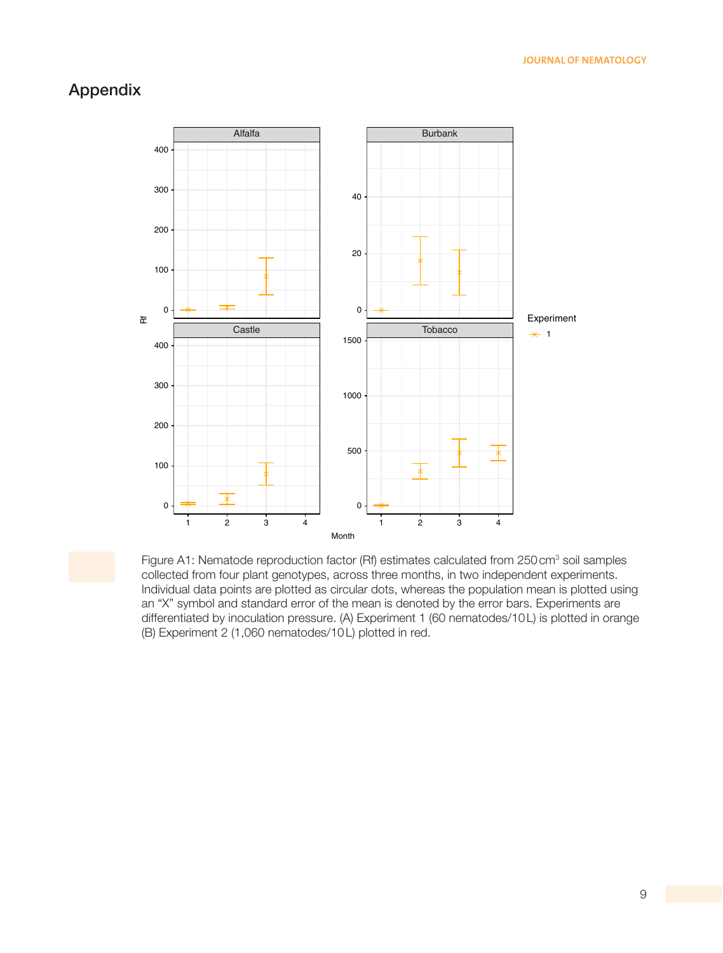## Appendix



Figure A1: Nematode reproduction factor (Rf) estimates calculated from 250 cm<sup>3</sup> soil samples collected from four plant genotypes, across three months, in two independent experiments. Individual data points are plotted as circular dots, whereas the population mean is plotted using an "X" symbol and standard error of the mean is denoted by the error bars. Experiments are differentiated by inoculation pressure. (A) Experiment 1 (60 nematodes/10L) is plotted in orange (B) Experiment 2 (1,060 nematodes/10L) plotted in red.